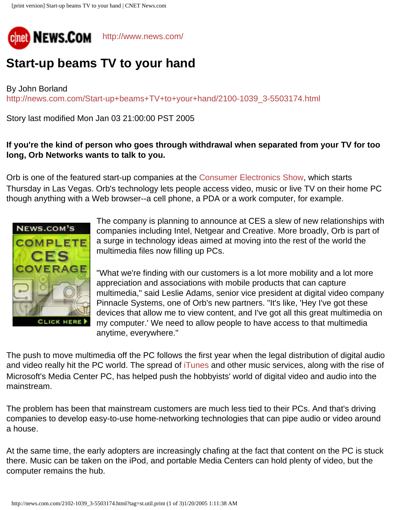

## **Start-up beams TV to your hand**

By John Borland [http://news.com.com/Start-up+beams+TV+to+your+hand/2100-1039\\_3-5503174.html](http://news.com.com/Start-up+beams+TV+to+your+hand/2100-1039_3-5503174.html)

Story last modified Mon Jan 03 21:00:00 PST 2005

## **If you're the kind of person who goes through withdrawal when separated from your TV for too long, Orb Networks wants to talk to you.**

Orb is one of the featured start-up companies at the [Consumer Electronics Show,](http://dw.com.com/redir?destUrl=http%3A%2F%2Fwww.cesweb.org%2Fdefault.asp&siteId=3&oId=2102-1039_3-5503174&ontId=1035&lop=nl.ex) which starts Thursday in Las Vegas. Orb's technology lets people access video, music or live TV on their home PC though anything with a Web browser--a cell phone, a PDA or a work computer, for example.



**CLICK HERE** 

The company is planning to announce at CES a slew of new relationships with companies including Intel, Netgear and Creative. More broadly, Orb is part of a surge in technology ideas aimed at moving into the rest of the world the multimedia files now filling up PCs.

"What we're finding with our customers is a lot more mobility and a lot more appreciation and associations with mobile products that can capture multimedia," said Leslie Adams, senior vice president at digital video company Pinnacle Systems, one of Orb's new partners. "It's like, 'Hey I've got these devices that allow me to view content, and I've got all this great multimedia on my computer.' We need to allow people to have access to that multimedia anytime, everywhere."

The push to move multimedia off the PC follows the first year when the legal distribution of digital audio and video really hit the PC world. The spread of [iTunes](http://news.com.com/iTunes+hits+200+million+download+mark/2100-1027_3-5494390.html?tag=nl) and other music services, along with the rise of Microsoft's Media Center PC, has helped push the hobbyists' world of digital video and audio into the mainstream.

The problem has been that mainstream customers are much less tied to their PCs. And that's driving companies to develop easy-to-use home-networking technologies that can pipe audio or video around a house.

At the same time, the early adopters are increasingly chafing at the fact that content on the PC is stuck there. Music can be taken on the iPod, and portable Media Centers can hold plenty of video, but the computer remains the hub.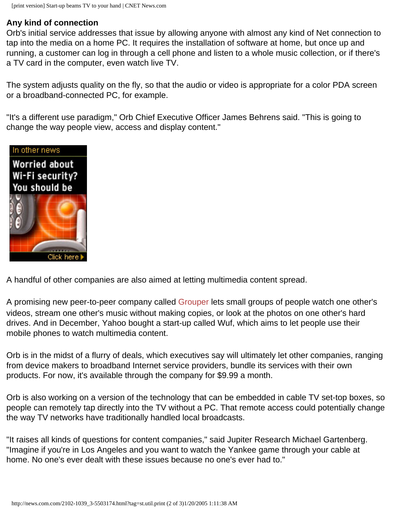## **Any kind of connection**

Orb's initial service addresses that issue by allowing anyone with almost any kind of Net connection to tap into the media on a home PC. It requires the installation of software at home, but once up and running, a customer can log in through a cell phone and listen to a whole music collection, or if there's a TV card in the computer, even watch live TV.

The system adjusts quality on the fly, so that the audio or video is appropriate for a color PDA screen or a broadband-connected PC, for example.

"It's a different use paradigm," Orb Chief Executive Officer James Behrens said. "This is going to change the way people view, access and display content."



A handful of other companies are also aimed at letting multimedia content spread.

A promising new peer-to-peer company called [Grouper](http://dw.com.com/redir?destUrl=http%3A%2F%2Fwww.grouper.com%2F&siteId=3&oId=/iTunes+hits+200+million+download+mark/2100-1027_3-5494390.html&ontId=1035&lop=nl.ex) lets small groups of people watch one other's videos, stream one other's music without making copies, or look at the photos on one other's hard drives. And in December, Yahoo bought a start-up called Wuf, which aims to let people use their mobile phones to watch multimedia content.

Orb is in the midst of a flurry of deals, which executives say will ultimately let other companies, ranging from device makers to broadband Internet service providers, bundle its services with their own products. For now, it's available through the company for \$9.99 a month.

Orb is also working on a version of the technology that can be embedded in cable TV set-top boxes, so people can remotely tap directly into the TV without a PC. That remote access could potentially change the way TV networks have traditionally handled local broadcasts.

"It raises all kinds of questions for content companies," said Jupiter Research Michael Gartenberg. "Imagine if you're in Los Angeles and you want to watch the Yankee game through your cable at home. No one's ever dealt with these issues because no one's ever had to."